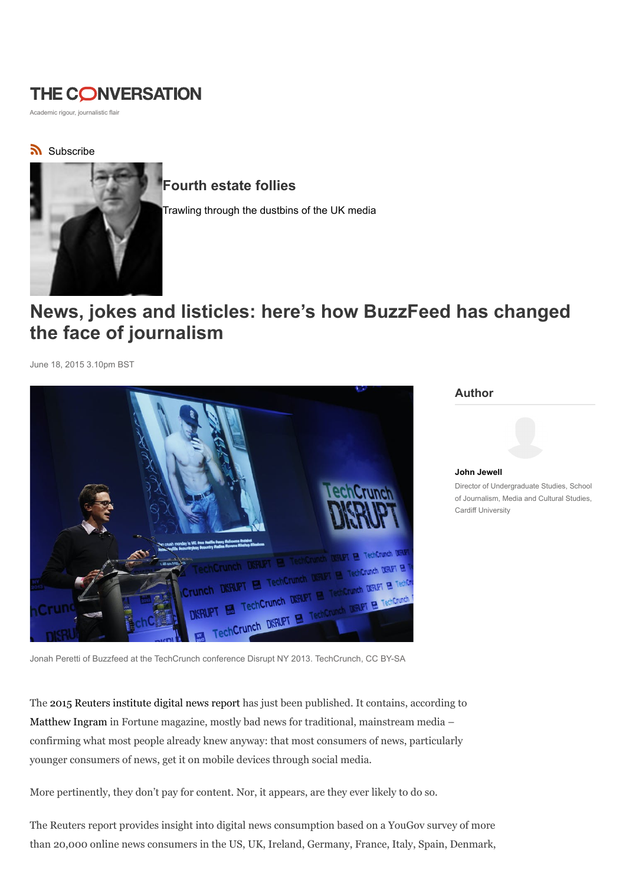## **THE CONVERSATION**

Academic rigour, journalistic flair

## Subscribe



## Fourth estate follies

Trawling through the dustbins of the UK media

## News, jokes and listicles: here's how BuzzFeed has changed the face of journalism

June 18, 2015 3.10pm BST



Author



John Jewell Director of Undergraduate Studies, School of Journalism, Media and Cultural Studies, Cardiff University

Jonah Peretti of Buzzfeed at the TechCrunch conference Disrupt NY 2013. TechCrunch, CC BY-SA

The 2015 Reuters institute digital news report has just been published. It contains, according to Matthew Ingram in Fortune magazine, mostly bad news for traditional, mainstream media – confirming what most people already knew anyway: that most consumers of news, particularly younger consumers of news, get it on mobile devices through social media.

More pertinently, they don't pay for content. Nor, it appears, are they ever likely to do so.

The Reuters report provides insight into digital news consumption based on a YouGov survey of more than 20,000 online news consumers in the US, UK, Ireland, Germany, France, Italy, Spain, Denmark,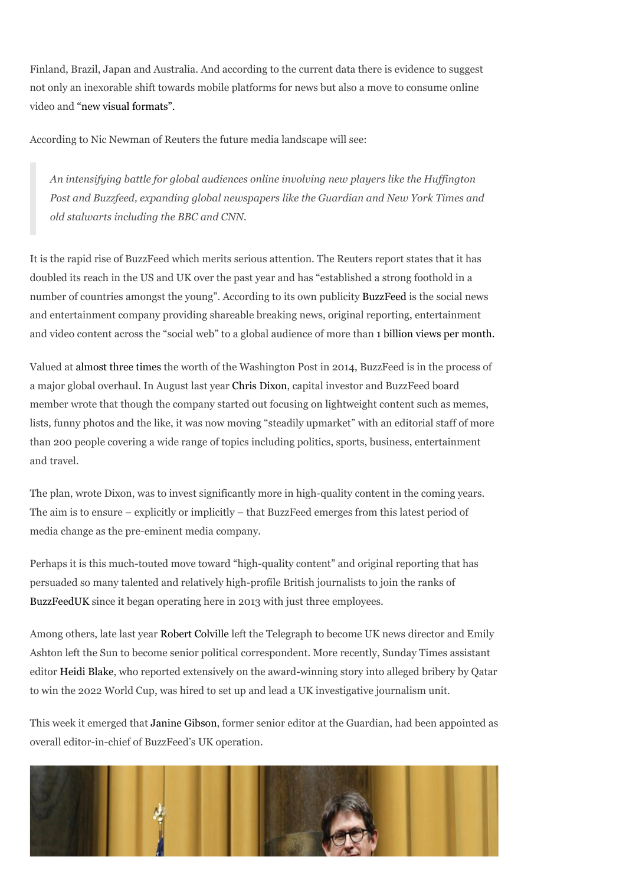Finland, Brazil, Japan and Australia. And according to the current data there is evidence to suggest not only an inexorable shift towards mobile platforms for news but also a move to consume online video and "new visual formats".

According to Nic Newman of Reuters the future media landscape will see:

An intensifying battle for global audiences online involving new players like the Huffington Post and Buzzfeed, expanding global newspapers like the Guardian and New York Times and old stalwarts including the BBC and CNN.

It is the rapid rise of BuzzFeed which merits serious attention. The Reuters report states that it has doubled its reach in the US and UK over the past year and has "established a strong foothold in a number of countries amongst the young". According to its own publicity BuzzFeed is the social news and entertainment company providing shareable breaking news, original reporting, entertainment and video content across the "social web" to a global audience of more than 1 billion views per month.

Valued at almost three times the worth of the Washington Post in 2014, BuzzFeed is in the process of a major global overhaul. In August last year Chris Dixon, capital investor and BuzzFeed board member wrote that though the company started out focusing on lightweight content such as memes, lists, funny photos and the like, it was now moving "steadily upmarket" with an editorial staff of more than 200 people covering a wide range of topics including politics, sports, business, entertainment and travel.

The plan, wrote Dixon, was to invest significantly more in high-quality content in the coming years. The aim is to ensure – explicitly or implicitly – that BuzzFeed emerges from this latest period of media change as the pre-eminent media company.

Perhaps it is this much-touted move toward "high-quality content" and original reporting that has persuaded so many talented and relatively high-profile British journalists to join the ranks of BuzzFeedUK since it began operating here in 2013 with just three employees.

Among others, late last year Robert Colville left the Telegraph to become UK news director and Emily Ashton left the Sun to become senior political correspondent. More recently, Sunday Times assistant editor Heidi Blake, who reported extensively on the award-winning story into alleged bribery by Qatar to win the 2022 World Cup, was hired to set up and lead a UK investigative journalism unit.

This week it emerged that Janine Gibson, former senior editor at the Guardian, had been appointed as overall editor-in-chief of BuzzFeed's UK operation.

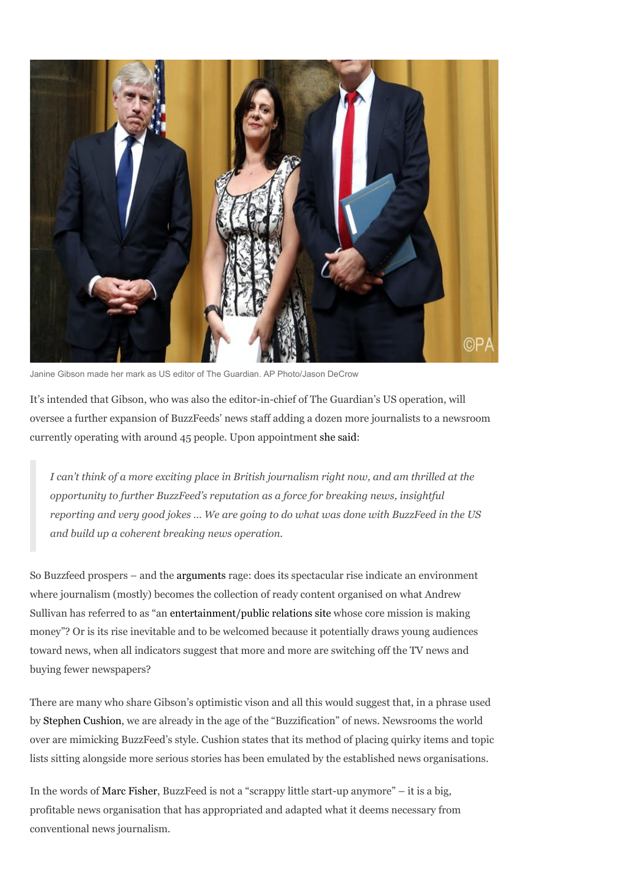

Janine Gibson made her mark as US editor of The Guardian. AP Photo/Jason DeCrow

It's intended that Gibson, who was also the editor-in-chief of The Guardian's US operation, will oversee a further expansion of BuzzFeeds' news staff adding a dozen more journalists to a newsroom currently operating with around 45 people. Upon appointment she said:

I can't think of a more exciting place in British journalism right now, and am thrilled at the opportunity to further BuzzFeed's reputation as a force for breaking news, insightful reporting and very good jokes … We are going to do what was done with BuzzFeed in the US and build up a coherent breaking news operation.

So Buzzfeed prospers – and the arguments rage: does its spectacular rise indicate an environment where journalism (mostly) becomes the collection of ready content organised on what Andrew Sullivan has referred to as "an entertainment/public relations site whose core mission is making money"? Or is its rise inevitable and to be welcomed because it potentially draws young audiences toward news, when all indicators suggest that more and more are switching off the TV news and buying fewer newspapers?

There are many who share Gibson's optimistic vison and all this would suggest that, in a phrase used by Stephen Cushion, we are already in the age of the "Buzzification" of news. Newsrooms the world over are mimicking BuzzFeed's style. Cushion states that its method of placing quirky items and topic lists sitting alongside more serious stories has been emulated by the established news organisations.

In the words of Marc Fisher, BuzzFeed is not a "scrappy little start-up anymore" – it is a big, profitable news organisation that has appropriated and adapted what it deems necessary from conventional news journalism.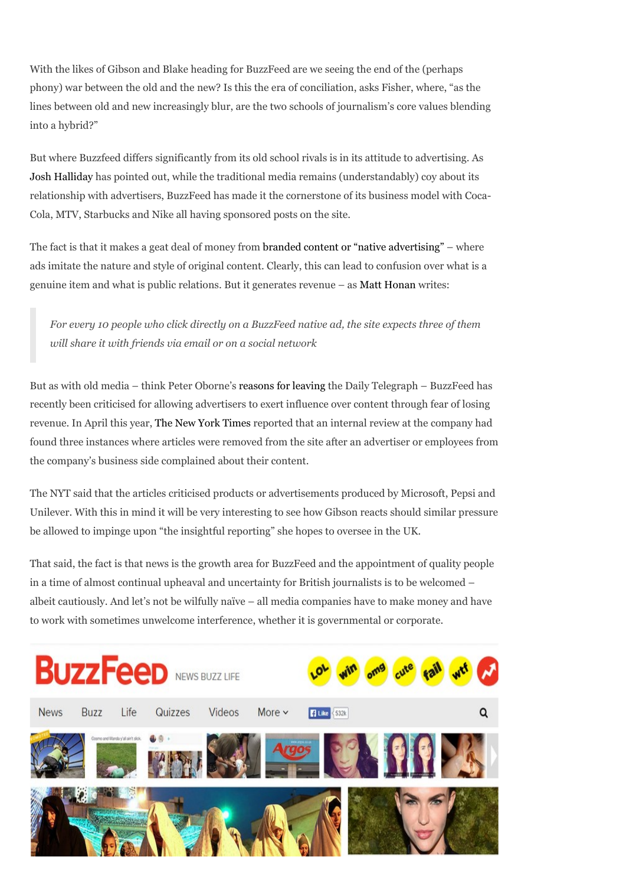With the likes of Gibson and Blake heading for BuzzFeed are we seeing the end of the (perhaps phony) war between the old and the new? Is this the era of conciliation, asks Fisher, where, "as the lines between old and new increasingly blur, are the two schools of journalism's core values blending into a hybrid?"

But where Buzzfeed differs significantly from its old school rivals is in its attitude to advertising. As Josh Halliday has pointed out, while the traditional media remains (understandably) coy about its relationship with advertisers, BuzzFeed has made it the cornerstone of its business model with Coca-Cola, MTV, Starbucks and Nike all having sponsored posts on the site.

The fact is that it makes a geat deal of money from branded content or "native advertising" – where ads imitate the nature and style of original content. Clearly, this can lead to confusion over what is a genuine item and what is public relations. But it generates revenue – as Matt Honan writes:

For every 10 people who click directly on a BuzzFeed native ad, the site expects three of them will share it with friends via email or on a social network

But as with old media – think Peter Oborne's reasons for leaving the Daily Telegraph – BuzzFeed has recently been criticised for allowing advertisers to exert influence over content through fear of losing revenue. In April this year, The New York Times reported that an internal review at the company had found three instances where articles were removed from the site after an advertiser or employees from the company's business side complained about their content.

The NYT said that the articles criticised products or advertisements produced by Microsoft, Pepsi and Unilever. With this in mind it will be very interesting to see how Gibson reacts should similar pressure be allowed to impinge upon "the insightful reporting" she hopes to oversee in the UK.

That said, the fact is that news is the growth area for BuzzFeed and the appointment of quality people in a time of almost continual upheaval and uncertainty for British journalists is to be welcomed – albeit cautiously. And let's not be wilfully naïve – all media companies have to make money and have to work with sometimes unwelcome interference, whether it is governmental or corporate.